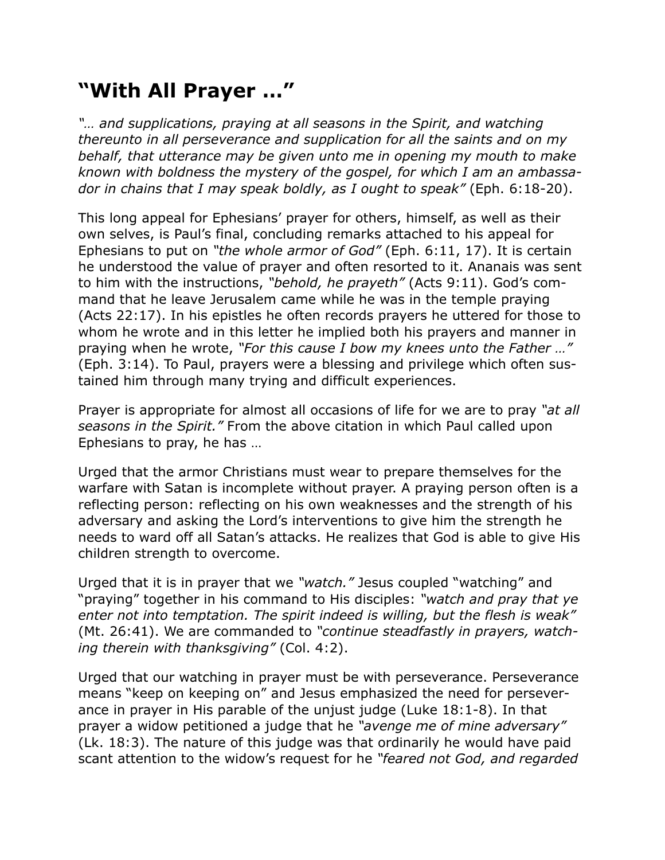## **"With All Prayer …"**

*"...* and supplications, praying at all seasons in the Spirit, and watching *thereunto in all perseverance and supplication for all the saints and on my behalf, that utterance may be given unto me in opening my mouth to make known with boldness the mystery of the gospel, for which I am an ambassador in chains that I may speak boldly, as I ought to speak"* (Eph. 6:18-20).

This long appeal for Ephesians' prayer for others, himself, as well as their own selves, is Paul's final, concluding remarks attached to his appeal for Ephesians to put on *"the whole armor of God"* (Eph. 6:11, 17). It is certain he understood the value of prayer and often resorted to it. Ananais was sent to him with the instructions, *"behold, he prayeth"* (Acts 9:11). God's command that he leave Jerusalem came while he was in the temple praying (Acts 22:17). In his epistles he often records prayers he uttered for those to whom he wrote and in this letter he implied both his prayers and manner in praying when he wrote, *"For this cause I bow my knees unto the Father …"* (Eph. 3:14). To Paul, prayers were a blessing and privilege which often sustained him through many trying and difficult experiences.

Prayer is appropriate for almost all occasions of life for we are to pray *"at all seasons in the Spirit."* From the above citation in which Paul called upon Ephesians to pray, he has …

Urged that the armor Christians must wear to prepare themselves for the warfare with Satan is incomplete without prayer. A praying person often is a reflecting person: reflecting on his own weaknesses and the strength of his adversary and asking the Lord's interventions to give him the strength he needs to ward off all Satan's attacks. He realizes that God is able to give His children strength to overcome.

Urged that it is in prayer that we *"watch."* Jesus coupled "watching" and "praying" together in his command to His disciples: *"watch and pray that ye enter not into temptation. The spirit indeed is willing, but the flesh is weak"*  (Mt. 26:41). We are commanded to *"continue steadfastly in prayers, watching therein with thanksgiving"* (Col. 4:2).

Urged that our watching in prayer must be with perseverance. Perseverance means "keep on keeping on" and Jesus emphasized the need for perseverance in prayer in His parable of the unjust judge (Luke 18:1-8). In that prayer a widow petitioned a judge that he *"avenge me of mine adversary"* (Lk. 18:3). The nature of this judge was that ordinarily he would have paid scant attention to the widow's request for he *"feared not God, and regarded*